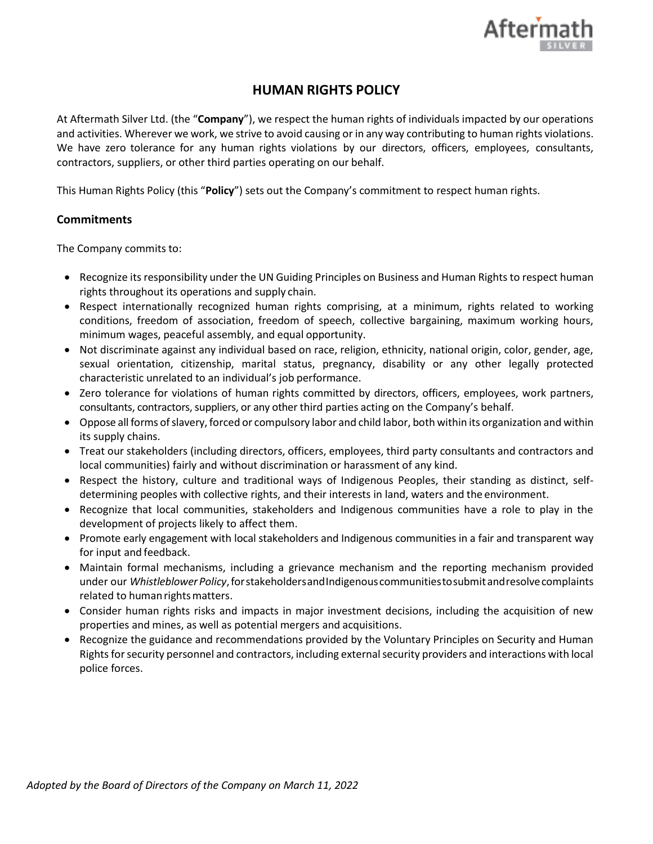

# **HUMAN RIGHTS POLICY**

At Aftermath Silver Ltd. (the "**Company**"), we respect the human rights of individuals impacted by our operations and activities. Wherever we work, we strive to avoid causing or in any way contributing to human rights violations. We have zero tolerance for any human rights violations by our directors, officers, employees, consultants, contractors, suppliers, or other third parties operating on our behalf.

This Human Rights Policy (this "**Policy**") sets out the Company's commitment to respect human rights.

# **Commitments**

The Company commits to:

- Recognize its responsibility under the UN Guiding Principles on Business and Human Rights to respect human rights throughout its operations and supply chain.
- Respect internationally recognized human rights comprising, at a minimum, rights related to working conditions, freedom of association, freedom of speech, collective bargaining, maximum working hours, minimum wages, peaceful assembly, and equal opportunity.
- Not discriminate against any individual based on race, religion, ethnicity, national origin, color, gender, age, sexual orientation, citizenship, marital status, pregnancy, disability or any other legally protected characteristic unrelated to an individual's job performance.
- Zero tolerance for violations of human rights committed by directors, officers, employees, work partners, consultants, contractors, suppliers, or any other third parties acting on the Company's behalf.
- Oppose all forms ofslavery,forced or compulsory labor and child labor, both within its organization and within its supply chains.
- Treat our stakeholders (including directors, officers, employees, third party consultants and contractors and local communities) fairly and without discrimination or harassment of any kind.
- Respect the history, culture and traditional ways of Indigenous Peoples, their standing as distinct, selfdetermining peoples with collective rights, and their interests in land, waters and the environment.
- Recognize that local communities, stakeholders and Indigenous communities have a role to play in the development of projects likely to affect them.
- Promote early engagement with local stakeholders and Indigenous communities in a fair and transparent way for input and feedback.
- Maintain formal mechanisms, including a grievance mechanism and the reporting mechanism provided under our *Whistleblower Policy*, for stakeholders and Indigenous communitiesto submit and resolve complaints related to human rights matters.
- Consider human rights risks and impacts in major investment decisions, including the acquisition of new properties and mines, as well as potential mergers and acquisitions.
- Recognize the guidance and recommendations provided by the Voluntary Principles on Security and Human Rights for security personnel and contractors, including external security providers and interactions with local police forces.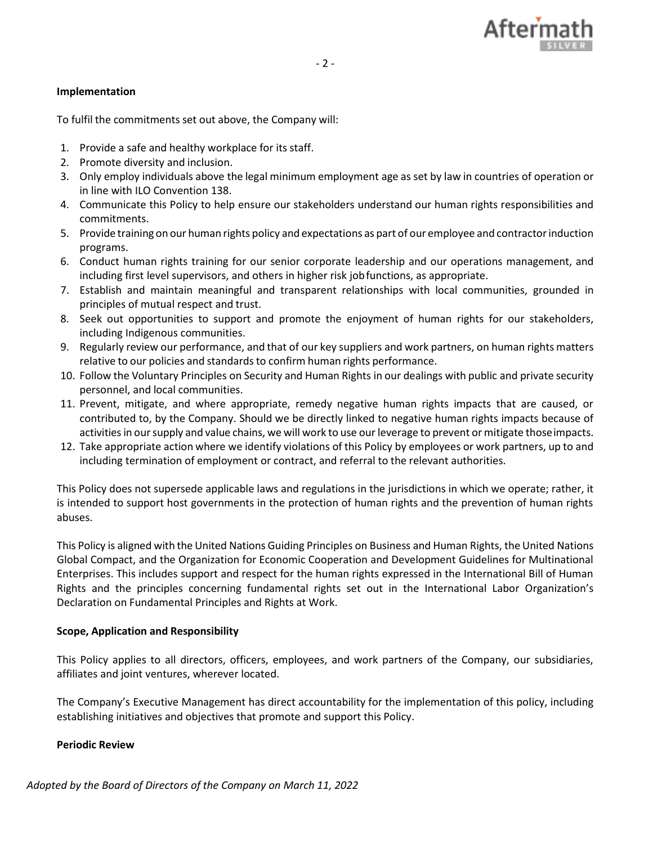

## **Implementation**

To fulfil the commitments set out above, the Company will:

- 1. Provide a safe and healthy workplace for its staff.
- 2. Promote diversity and inclusion.
- 3. Only employ individuals above the legal minimum employment age as set by law in countries of operation or in line with ILO Convention 138.
- 4. Communicate this Policy to help ensure our stakeholders understand our human rights responsibilities and commitments.
- 5. Provide training on our human rights policy and expectations as part of our employee and contractorinduction programs.
- 6. Conduct human rights training for our senior corporate leadership and our operations management, and including first level supervisors, and others in higher risk jobfunctions, as appropriate.
- 7. Establish and maintain meaningful and transparent relationships with local communities, grounded in principles of mutual respect and trust.
- 8. Seek out opportunities to support and promote the enjoyment of human rights for our stakeholders, including Indigenous communities.
- 9. Regularly review our performance, and that of our key suppliers and work partners, on human rights matters relative to our policies and standards to confirm human rights performance.
- 10. Follow the Voluntary Principles on Security and Human Rights in our dealings with public and private security personnel, and local communities.
- 11. Prevent, mitigate, and where appropriate, remedy negative human rights impacts that are caused, or contributed to, by the Company. Should we be directly linked to negative human rights impacts because of activities in our supply and value chains, we will work to use our leverage to prevent or mitigate those impacts.
- 12. Take appropriate action where we identify violations of this Policy by employees or work partners, up to and including termination of employment or contract, and referral to the relevant authorities.

This Policy does not supersede applicable laws and regulations in the jurisdictions in which we operate; rather, it is intended to support host governments in the protection of human rights and the prevention of human rights abuses.

This Policy is aligned with the United Nations Guiding Principles on Business and Human Rights, the United Nations Global Compact, and the Organization for Economic Cooperation and Development Guidelines for Multinational Enterprises. This includes support and respect for the human rights expressed in the International Bill of Human Rights and the principles concerning fundamental rights set out in the International Labor Organization's Declaration on Fundamental Principles and Rights at Work.

### **Scope, Application and Responsibility**

This Policy applies to all directors, officers, employees, and work partners of the Company, our subsidiaries, affiliates and joint ventures, wherever located.

The Company's Executive Management has direct accountability for the implementation of this policy, including establishing initiatives and objectives that promote and support this Policy.

### **Periodic Review**